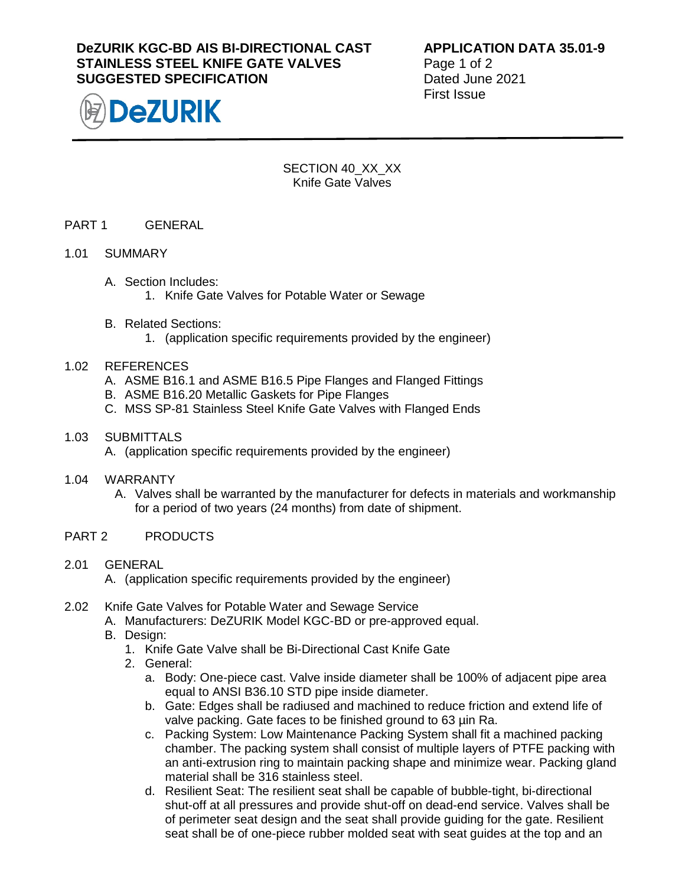# **DeZURIK KGC-BD AIS BI-DIRECTIONAL CAST STAINLESS STEEL KNIFE GATE VALVES SUGGESTED SPECIFICATION**



**APPLICATION DATA 35.01-9** Page 1 of 2 Dated June 2021 First Issue

SECTION 40\_XX\_XX Knife Gate Valves

## PART 1 GENERAL

#### 1.01 SUMMARY

- A. Section Includes: 1. Knife Gate Valves for Potable Water or Sewage
- B. Related Sections:
	- 1. (application specific requirements provided by the engineer)

#### 1.02 REFERENCES

- A. ASME B16.1 and ASME B16.5 Pipe Flanges and Flanged Fittings
- B. ASME B16.20 Metallic Gaskets for Pipe Flanges
- C. MSS SP-81 Stainless Steel Knife Gate Valves with Flanged Ends

#### 1.03 SUBMITTALS

- A. (application specific requirements provided by the engineer)
- 1.04 WARRANTY
	- A. Valves shall be warranted by the manufacturer for defects in materials and workmanship for a period of two years (24 months) from date of shipment.

#### PART 2 PRODUCTS

2.01 GENERAL

A. (application specific requirements provided by the engineer)

- 2.02 Knife Gate Valves for Potable Water and Sewage Service
	- A. Manufacturers: DeZURIK Model KGC-BD or pre-approved equal.
		- B. Design:
			- 1. Knife Gate Valve shall be Bi-Directional Cast Knife Gate
			- 2. General:
				- a. Body: One-piece cast. Valve inside diameter shall be 100% of adjacent pipe area equal to ANSI B36.10 STD pipe inside diameter.
				- b. Gate: Edges shall be radiused and machined to reduce friction and extend life of valve packing. Gate faces to be finished ground to 63 uin Ra.
				- c. Packing System: Low Maintenance Packing System shall fit a machined packing chamber. The packing system shall consist of multiple layers of PTFE packing with an anti-extrusion ring to maintain packing shape and minimize wear. Packing gland material shall be 316 stainless steel.
				- d. Resilient Seat: The resilient seat shall be capable of bubble-tight, bi-directional shut-off at all pressures and provide shut-off on dead-end service. Valves shall be of perimeter seat design and the seat shall provide guiding for the gate. Resilient seat shall be of one-piece rubber molded seat with seat guides at the top and an